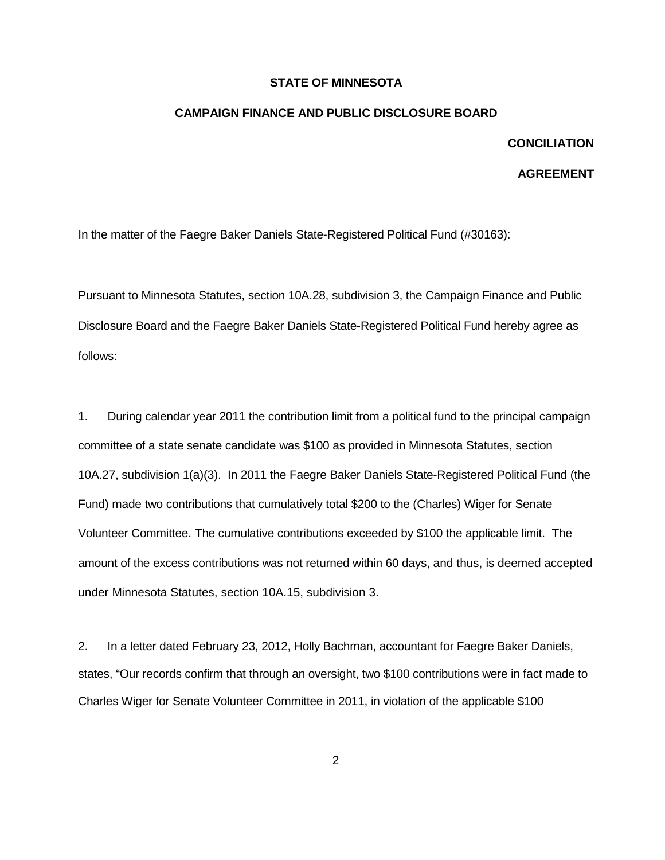## **STATE OF MINNESOTA**

## **CAMPAIGN FINANCE AND PUBLIC DISCLOSURE BOARD**

## **CONCILIATION**

## **AGREEMENT**

In the matter of the Faegre Baker Daniels State-Registered Political Fund (#30163):

Pursuant to Minnesota Statutes, section 10A.28, subdivision 3, the Campaign Finance and Public Disclosure Board and the Faegre Baker Daniels State-Registered Political Fund hereby agree as follows:

1. During calendar year 2011 the contribution limit from a political fund to the principal campaign committee of a state senate candidate was \$100 as provided in Minnesota Statutes, section 10A.27, subdivision 1(a)(3). In 2011 the Faegre Baker Daniels State-Registered Political Fund (the Fund) made two contributions that cumulatively total \$200 to the (Charles) Wiger for Senate Volunteer Committee. The cumulative contributions exceeded by \$100 the applicable limit. The amount of the excess contributions was not returned within 60 days, and thus, is deemed accepted under Minnesota Statutes, section 10A.15, subdivision 3.

2. In a letter dated February 23, 2012, Holly Bachman, accountant for Faegre Baker Daniels, states, "Our records confirm that through an oversight, two \$100 contributions were in fact made to Charles Wiger for Senate Volunteer Committee in 2011, in violation of the applicable \$100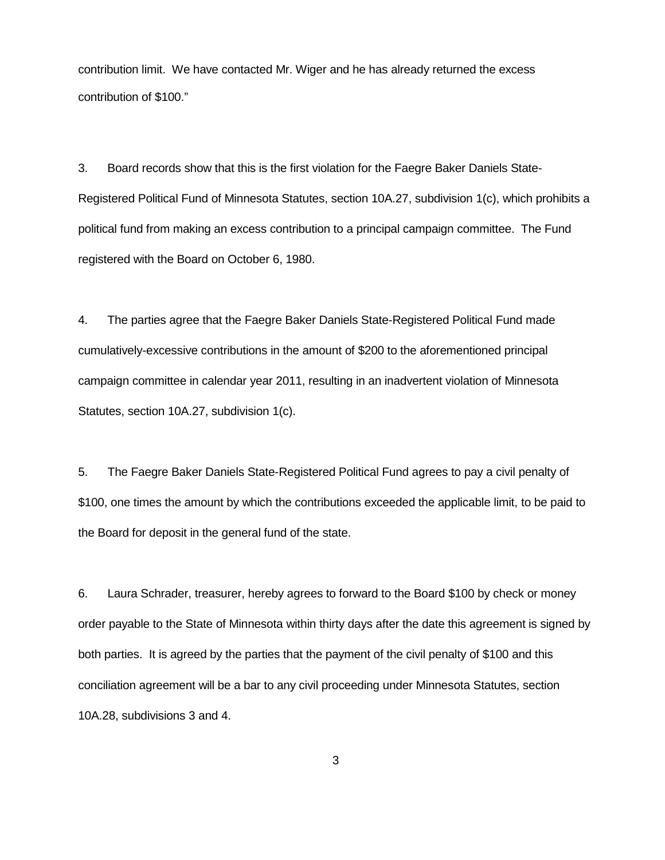contribution limit. We have contacted Mr. Wiger and he has already returned the excess contribution of \$100."

3. Board records show that this is the first violation for the Faegre Baker Daniels State-Registered Political Fund of Minnesota Statutes, section 10A.27, subdivision 1(c), which prohibits a political fund from making an excess contribution to a principal campaign committee. The Fund registered with the Board on October 6, 1980.

4. The parties agree that the Faegre Baker Daniels State-Registered Political Fund made cumulatively-excessive contributions in the amount of \$200 to the aforementioned principal campaign committee in calendar year 2011, resulting in an inadvertent violation of Minnesota Statutes, section 10A.27, subdivision 1(c).

5. The Faegre Baker Daniels State-Registered Political Fund agrees to pay a civil penalty of \$100, one times the amount by which the contributions exceeded the applicable limit, to be paid to the Board for deposit in the general fund of the state.

6. Laura Schrader, treasurer, hereby agrees to forward to the Board \$100 by check or money order payable to the State of Minnesota within thirty days after the date this agreement is signed by both parties. It is agreed by the parties that the payment of the civil penalty of \$100 and this conciliation agreement will be a bar to any civil proceeding under Minnesota Statutes, section 10A.28, subdivisions 3 and 4.

3